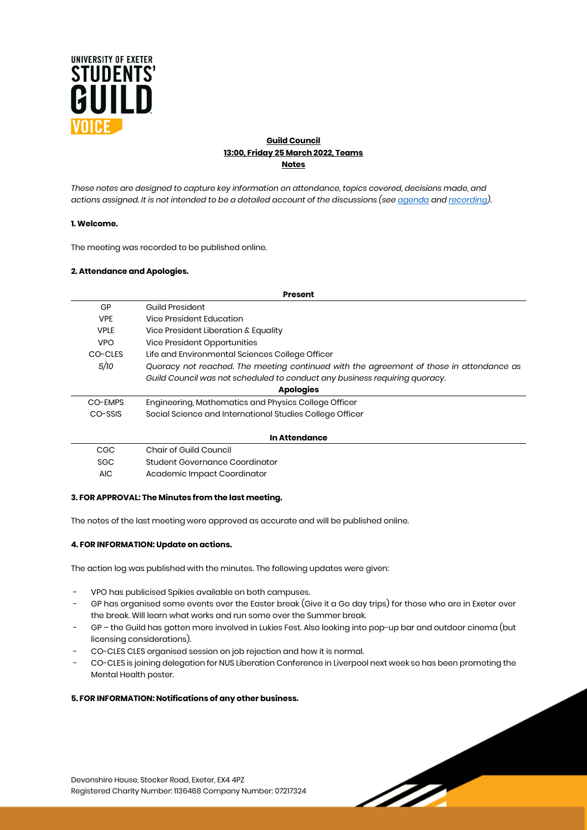

# **Guild Council 13:00, Friday 25 March 2022, Teams Notes**

*These notes are designed to capture key information on attendance, topics covered, decisions made, and actions assigned. It is not intended to be a detailed account of the discussions (se[e agenda](https://www.exeterguild.org/ents/event/41673/) an[d recording\)](https://youtu.be/NHRdYsOH5wQ).*

## **1. Welcome.**

The meeting was recorded to be published online.

### **2. Attendance and Apologies.**

| <b>Present</b>   |                                                                                         |  |  |  |  |  |  |
|------------------|-----------------------------------------------------------------------------------------|--|--|--|--|--|--|
| GP               | <b>Guild President</b>                                                                  |  |  |  |  |  |  |
| <b>VPE</b>       | Vice President Education                                                                |  |  |  |  |  |  |
| <b>VPLE</b>      | Vice President Liberation & Equality                                                    |  |  |  |  |  |  |
| <b>VPO</b>       | Vice President Opportunities                                                            |  |  |  |  |  |  |
| CO-CLES          | Life and Environmental Sciences College Officer                                         |  |  |  |  |  |  |
| 5/10             | Quoracy not reached. The meeting continued with the agreement of those in attendance as |  |  |  |  |  |  |
|                  | Guild Council was not scheduled to conduct any business requiring quoracy.              |  |  |  |  |  |  |
| <b>Apologies</b> |                                                                                         |  |  |  |  |  |  |
| CO-EMPS          | Engineering, Mathematics and Physics College Officer                                    |  |  |  |  |  |  |
| CO-SSIS          | Social Science and International Studies College Officer                                |  |  |  |  |  |  |
|                  |                                                                                         |  |  |  |  |  |  |
|                  | In Attendance                                                                           |  |  |  |  |  |  |
| CGC              | Chair of Guild Council                                                                  |  |  |  |  |  |  |
| <b>SGC</b>       | Student Governance Coordinator                                                          |  |  |  |  |  |  |
| <b>AIC</b>       | Academic Impact Coordinator                                                             |  |  |  |  |  |  |
|                  |                                                                                         |  |  |  |  |  |  |

#### **3. FOR APPROVAL: The Minutes from the last meeting.**

The notes of the last meeting were approved as accurate and will be published online.

## **4. FOR INFORMATION: Update on actions.**

The action log was published with the minutes. The following updates were given:

- VPO has publicised Spikies available on both campuses.
- GP has organised some events over the Easter break (Give it a Go day trips) for those who are in Exeter over the break. Will learn what works and run some over the Summer break.
- GP the Guild has gotten more involved in Lukies Fest. Also looking into pop-up bar and outdoor cinema (but licensing considerations).
- CO-CLES CLES organised session on job rejection and how it is normal.
- CO-CLES is joining delegation for NUS Liberation Conference in Liverpool next week so has been promoting the Mental Health poster.

TTT.

## **5. FOR INFORMATION: Notifications of any other business.**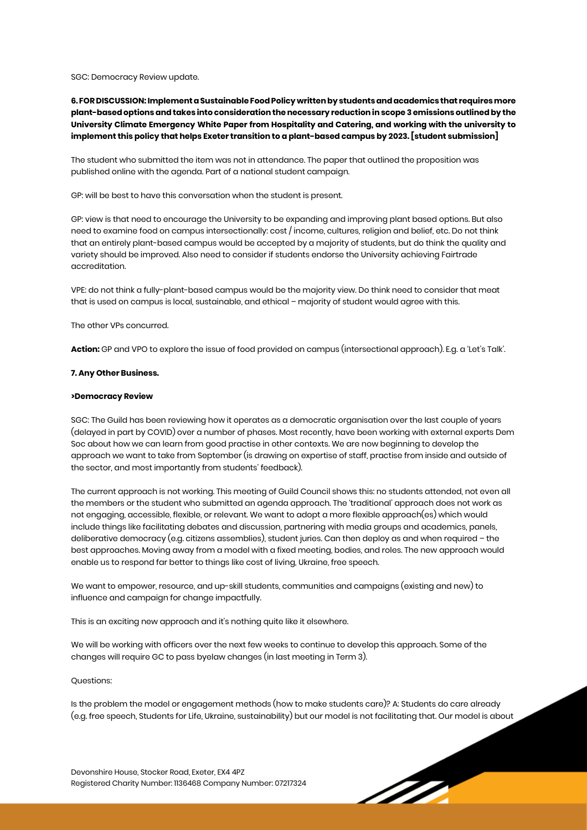SGC: Democracy Review update.

**6. FOR DISCUSSION: Implement a Sustainable Food Policy written by students and academics that requires more plant-based options and takes into consideration the necessary reduction in scope 3 emissions outlined by the University Climate Emergency White Paper from Hospitality and Catering, and working with the university to implement this policy that helps Exeter transition to a plant-based campus by 2023. [student submission]**

The student who submitted the item was not in attendance. The paper that outlined the proposition was published online with the agenda. Part of a national student campaign.

GP: will be best to have this conversation when the student is present.

GP: view is that need to encourage the University to be expanding and improving plant based options. But also need to examine food on campus intersectionally: cost / income, cultures, religion and belief, etc. Do not think that an entirely plant-based campus would be accepted by a majority of students, but do think the quality and variety should be improved. Also need to consider if students endorse the University achieving Fairtrade accreditation.

VPE: do not think a fully-plant-based campus would be the majority view. Do think need to consider that meat that is used on campus is local, sustainable, and ethical – majority of student would agree with this.

The other VPs concurred.

**Action:** GP and VPO to explore the issue of food provided on campus (intersectional approach). E.g. a 'Let's Talk'.

### **7. Any Other Business.**

#### **>Democracy Review**

SGC: The Guild has been reviewing how it operates as a democratic organisation over the last couple of years (delayed in part by COVID) over a number of phases. Most recently, have been working with external experts Dem Soc about how we can learn from good practise in other contexts. We are now beginning to develop the approach we want to take from September (is drawing on expertise of staff, practise from inside and outside of the sector, and most importantly from students' feedback).

The current approach is not working. This meeting of Guild Council shows this: no students attended, not even all the members or the student who submitted an agenda approach. The 'traditional' approach does not work as not engaging, accessible, flexible, or relevant. We want to adopt a more flexible approach(es) which would include things like facilitating debates and discussion, partnering with media groups and academics, panels, deliberative democracy (e.g. citizens assemblies), student juries. Can then deploy as and when required – the best approaches. Moving away from a model with a fixed meeting, bodies, and roles. The new approach would enable us to respond far better to things like cost of living, Ukraine, free speech.

We want to empower, resource, and up-skill students, communities and campaigns (existing and new) to influence and campaign for change impactfully.

This is an exciting new approach and it's nothing quite like it elsewhere.

We will be working with officers over the next few weeks to continue to develop this approach. Some of the changes will require GC to pass byelaw changes (in last meeting in Term 3).

#### Questions:

Is the problem the model or engagement methods (how to make students care)? A: Students do care already (e.g. free speech, Students for Life, Ukraine, sustainability) but our model is not facilitating that. Our model is about

<u>IT</u>

Devonshire House, Stocker Road, Exeter, EX4 4PZ Registered Charity Number: 1136468 Company Number: 07217324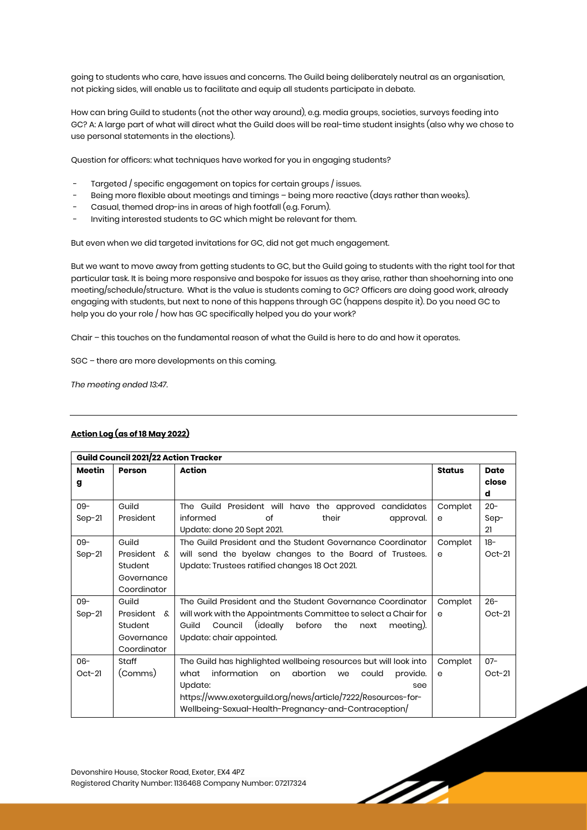going to students who care, have issues and concerns. The Guild being deliberately neutral as an organisation, not picking sides, will enable us to facilitate and equip all students participate in debate.

How can bring Guild to students (not the other way around), e.g. media groups, societies, surveys feeding into GC? A: A large part of what will direct what the Guild does will be real-time student insights (also why we chose to use personal statements in the elections).

Question for officers: what techniques have worked for you in engaging students?

- Targeted / specific engagement on topics for certain groups / issues.
- Being more flexible about meetings and timings being more reactive (days rather than weeks).
- Casual, themed drop-ins in areas of high footfall (e.g. Forum).
- Inviting interested students to GC which might be relevant for them.

But even when we did targeted invitations for GC, did not get much engagement.

But we want to move away from getting students to GC, but the Guild going to students with the right tool for that particular task. It is being more responsive and bespoke for issues as they arise, rather than shoehorning into one meeting/schedule/structure. What is the value is students coming to GC? Officers are doing good work, already engaging with students, but next to none of this happens through GC (happens despite it). Do you need GC to help you do your role / how has GC specifically helped you do your work?

Chair – this touches on the fundamental reason of what the Guild is here to do and how it operates.

SGC – there are more developments on this coming.

*The meeting ended 13:47.*

| Guild Council 2021/22 Action Tracker |             |                                                                     |               |             |  |
|--------------------------------------|-------------|---------------------------------------------------------------------|---------------|-------------|--|
| Meetin                               | Person      | <b>Action</b>                                                       | <b>Status</b> | <b>Date</b> |  |
| g                                    |             |                                                                     |               | close       |  |
|                                      |             |                                                                     |               | d           |  |
| $09 -$                               | Guild       | The Guild President will have the approved candidates               | Complet       | $20 -$      |  |
| $Sep-21$                             | President   | informed<br>of<br>their<br>approval.                                | е             | Sep-        |  |
|                                      |             | Update: done 20 Sept 2021.                                          |               | 21          |  |
| $09 -$                               | Guild       | The Guild President and the Student Governance Coordinator          | Complet       | $18-$       |  |
| $Sep-21$                             | President & | will send the byelaw changes to the Board of Trustees.              | e             | $Oct-21$    |  |
|                                      | Student     | Update: Trustees ratified changes 18 Oct 2021.                      |               |             |  |
|                                      | Governance  |                                                                     |               |             |  |
|                                      | Coordinator |                                                                     |               |             |  |
| $09 -$                               | Guild       | The Guild President and the Student Governance Coordinator          | Complet       | $26 -$      |  |
| $Sep-21$                             | President & | will work with the Appointments Committee to select a Chair for     | e             | $Oct-21$    |  |
|                                      | Student     | Council<br>(ideally)<br>Guild<br>before<br>meeting).<br>the<br>next |               |             |  |
|                                      | Governance  | Update: chair appointed.                                            |               |             |  |
|                                      | Coordinator |                                                                     |               |             |  |
| $06 -$                               | Staff       | The Guild has highlighted wellbeing resources but will look into    | Complet       | $07 -$      |  |
| $Oct-21$                             | (Comms)     | information<br>abortion<br>could<br>what<br>provide.<br>on<br>we    | e             | $Oct-21$    |  |
|                                      |             | Update:<br>see                                                      |               |             |  |
|                                      |             | https://www.exeterguild.org/news/article/7222/Resources-for-        |               |             |  |
|                                      |             | Wellbeing-Sexual-Health-Pregnancy-and-Contraception/                |               |             |  |

# **Action Log (as of 18 May 2022)**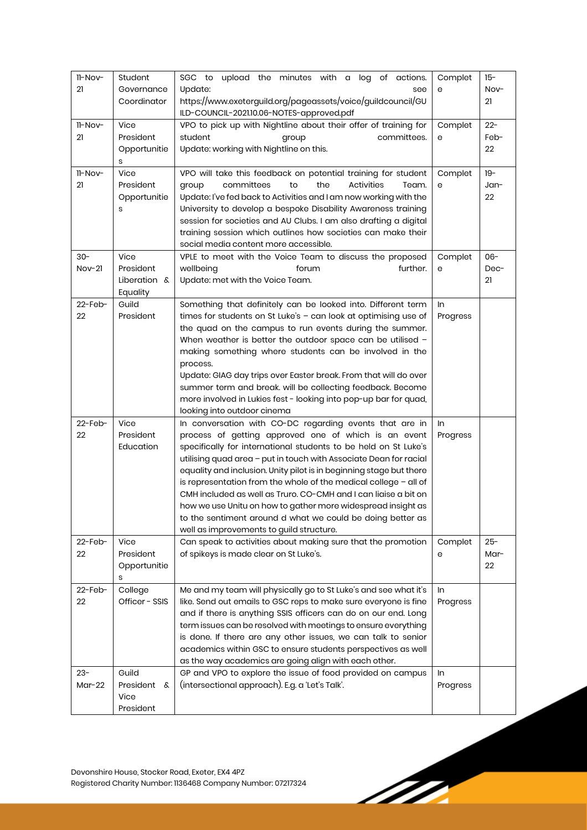| 11-Nov-    | Student           | SGC to upload the minutes with a log of actions.                    | Complet  | $15 -$ |
|------------|-------------------|---------------------------------------------------------------------|----------|--------|
| 21         | Governance        | Update:<br>see                                                      | е        | Nov-   |
|            | Coordinator       | https://www.exeterguild.org/pageassets/voice/guildcouncil/GU        |          | 21     |
|            |                   | ILD-COUNCIL-2021.10.06-NOTES-approved.pdf                           |          |        |
| 11-Nov-    | Vice              | VPO to pick up with Nightline about their offer of training for     | Complet  | $22 -$ |
| 21         | President         | student<br>committees.<br>group                                     | е        | Feb-   |
|            | Opportunitie      | Update: working with Nightline on this.                             |          | 22     |
|            | s                 |                                                                     |          |        |
| 11-Nov-    | Vice              | VPO will take this feedback on potential training for student       |          | $19 -$ |
|            |                   |                                                                     | Complet  |        |
| 21         | President         | committees<br>to<br>the<br>Activities<br>Team.<br>group             | е        | Jan-   |
|            | Opportunitie      | Update: I've fed back to Activities and I am now working with the   |          | 22     |
|            | s                 | University to develop a bespoke Disability Awareness training       |          |        |
|            |                   | session for societies and AU Clubs. I am also drafting a digital    |          |        |
|            |                   | training session which outlines how societies can make their        |          |        |
|            |                   | social media content more accessible.                               |          |        |
| $30 -$     | Vice              | VPLE to meet with the Voice Team to discuss the proposed            | Complet  | $06 -$ |
| $Nov-21$   | President         | further.<br>wellbeing<br>forum                                      | е        | Dec-   |
|            | Liberation &      | Update: met with the Voice Team.                                    |          | 21     |
|            | Equality          |                                                                     |          |        |
| $22$ -Feb- | Guild             | Something that definitely can be looked into. Different term        | In       |        |
| 22         | President         | times for students on St Luke's - can look at optimising use of     | Progress |        |
|            |                   |                                                                     |          |        |
|            |                   | the quad on the campus to run events during the summer.             |          |        |
|            |                   | When weather is better the outdoor space can be utilised -          |          |        |
|            |                   | making something where students can be involved in the              |          |        |
|            |                   | process.                                                            |          |        |
|            |                   | Update: GIAG day trips over Easter break. From that will do over    |          |        |
|            |                   | summer term and break. will be collecting feedback. Become          |          |        |
|            |                   | more involved in Lukies fest - looking into pop-up bar for quad,    |          |        |
|            |                   | looking into outdoor cinema                                         |          |        |
| 22-Feb-    | Vice              | In conversation with CO-DC regarding events that are in             | In       |        |
| 22         | President         | process of getting approved one of which is an event                | Progress |        |
|            | Education         | specifically for international students to be held on St Luke's     |          |        |
|            |                   | utilising quad area - put in touch with Associate Dean for racial   |          |        |
|            |                   | equality and inclusion. Unity pilot is in beginning stage but there |          |        |
|            |                   | is representation from the whole of the medical college $-$ all of  |          |        |
|            |                   |                                                                     |          |        |
|            |                   | CMH included as well as Truro. CO-CMH and I can liaise a bit on     |          |        |
|            |                   | how we use Unitu on how to gather more widespread insight as        |          |        |
|            |                   | to the sentiment around d what we could be doing better as          |          |        |
|            |                   | well as improvements to guild structure.                            |          |        |
| $22$ -Feb- | Vice              | Can speak to activities about making sure that the promotion        | Complet  | $25 -$ |
| 22         | President         | of spikeys is made clear on St Luke's.                              | е        | Mar-   |
|            | Opportunitie      |                                                                     |          | 22     |
|            | S                 |                                                                     |          |        |
| 22-Feb-    | College           | Me and my team will physically go to St Luke's and see what it's    | In       |        |
| 22         | Officer - SSIS    | like. Send out emails to GSC reps to make sure everyone is fine     | Progress |        |
|            |                   | and if there is anything SSIS officers can do on our end. Long      |          |        |
|            |                   | term issues can be resolved with meetings to ensure everything      |          |        |
|            |                   | is done. If there are any other issues, we can talk to senior       |          |        |
|            |                   | academics within GSC to ensure students perspectives as well        |          |        |
|            |                   | as the way academics are going align with each other.               |          |        |
|            |                   |                                                                     |          |        |
| $23 -$     | Guild             | GP and VPO to explore the issue of food provided on campus          | In       |        |
| $Mar-22$   | President &       | (intersectional approach). E.g. a 'Let's Talk'.                     | Progress |        |
|            |                   |                                                                     |          |        |
|            | Vice<br>President |                                                                     |          |        |

M